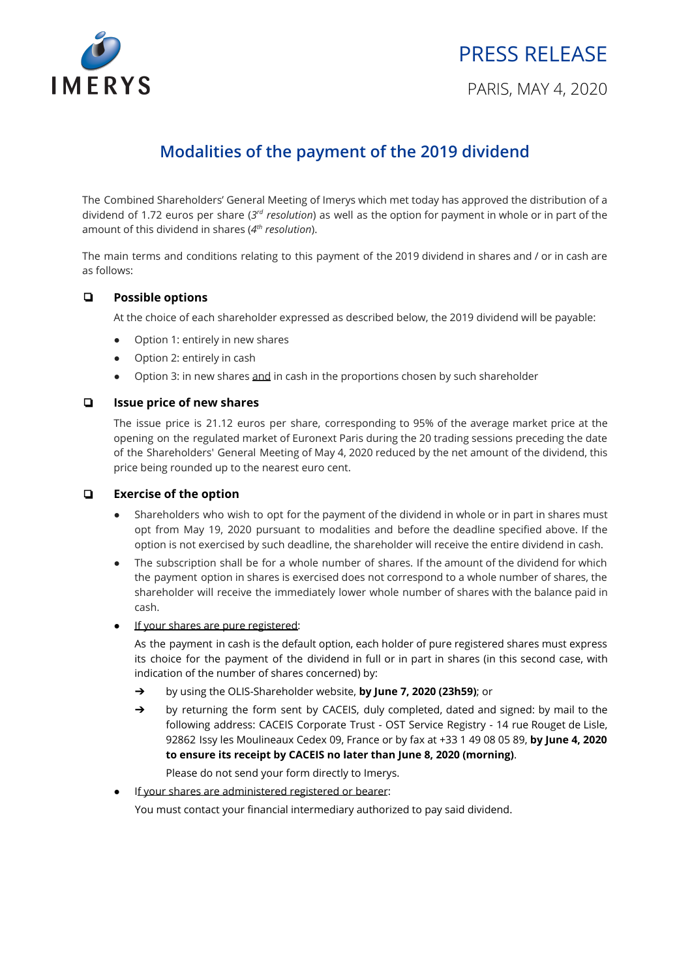

# PRESS RELEASE

# **Modalities of the payment of the 2019 dividend**

The Combined Shareholders' General Meeting of Imerys which met today has approved the distribution of a dividend of 1.72 euros per share (*3rd resolution*) as well as the option for payment in whole or in part of the amount of this dividend in shares (*4th resolution*).

The main terms and conditions relating to this payment of the 2019 dividend in shares and / or in cash are as follows:

# ❏ **Possible options**

At the choice of each shareholder expressed as described below, the 2019 dividend will be payable:

- Option 1: entirely in new shares
- Option 2: entirely in cash
- Option 3: in new shares and in cash in the proportions chosen by such shareholder

#### ❏ **Issue price of new shares**

The issue price is 21.12 euros per share, corresponding to 95% of the average market price at the opening on the regulated market of Euronext Paris during the 20 trading sessions preceding the date of the Shareholders' General Meeting of May 4, 2020 reduced by the net amount of the dividend, this price being rounded up to the nearest euro cent.

#### ❏ **Exercise of the option**

- Shareholders who wish to opt for the payment of the dividend in whole or in part in shares must opt from May 19, 2020 pursuant to modalities and before the deadline specified above. If the option is not exercised by such deadline, the shareholder will receive the entire dividend in cash.
- The subscription shall be for a whole number of shares. If the amount of the dividend for which the payment option in shares is exercised does not correspond to a whole number of shares, the shareholder will receive the immediately lower whole number of shares with the balance paid in cash.
- If your shares are pure registered:

As the payment in cash is the default option, each holder of pure registered shares must express its choice for the payment of the dividend in full or in part in shares (in this second case, with indication of the number of shares concerned) by:

- ➔ by using the OLIS-Shareholder website, **by June 7, 2020 (23h59)**; or
- ➔ by returning the form sent by CACEIS, duly completed, dated and signed: by mail to the following address: CACEIS Corporate Trust - OST Service Registry - 14 rue Rouget de Lisle, 92862 Issy les Moulineaux Cedex 09, France or by fax at +33 1 49 08 05 89, **by June 4, 2020 to ensure its receipt by CACEIS no later than June 8, 2020 (morning)**.
- Please do not send your form directly to Imerys.
- If your shares are administered registered or bearer:

You must contact your financial intermediary authorized to pay said dividend.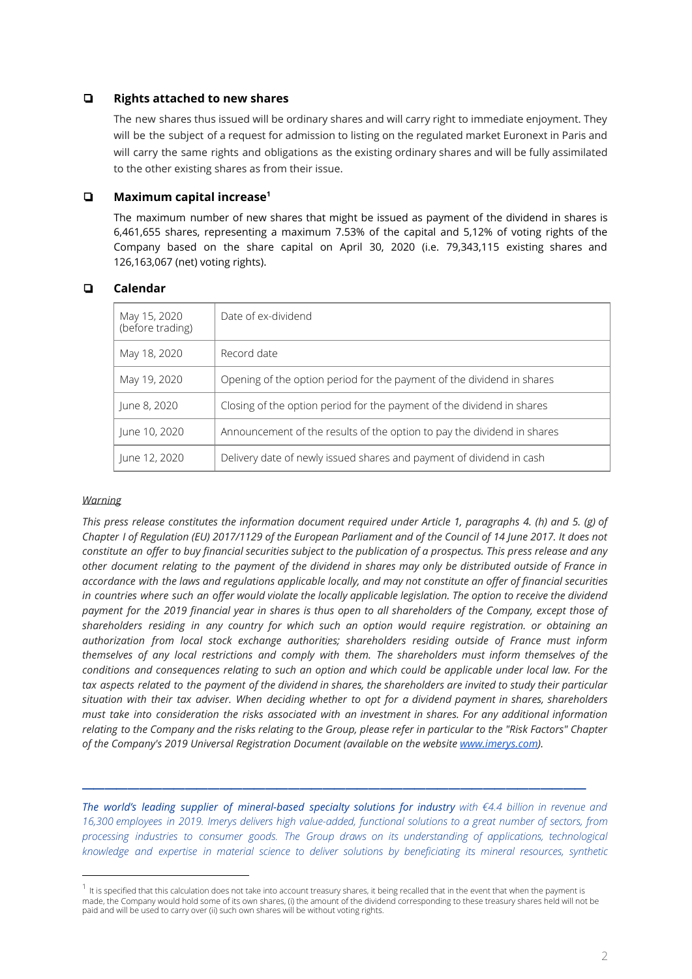### ❏ **Rights attached to new shares**

The new shares thus issued will be ordinary shares and will carry right to immediate enjoyment. They will be the subject of a request for admission to listing on the regulated market Euronext in Paris and will carry the same rights and obligations as the existing ordinary shares and will be fully assimilated to the other existing shares as from their issue.

# ❏ **Maximum capital increase 1**

The maximum number of new shares that might be issued as payment of the dividend in shares is 6,461,655 shares, representing a maximum 7.53% of the capital and 5,12% of voting rights of the Company based on the share capital on April 30, 2020 (i.e. 79,343,115 existing shares and 126,163,067 (net) voting rights).

# ❏ **Calendar**

| May 15, 2020<br>(before trading) | Date of ex-dividend                                                     |
|----------------------------------|-------------------------------------------------------------------------|
| May 18, 2020                     | Record date                                                             |
| May 19, 2020                     | Opening of the option period for the payment of the dividend in shares  |
| June 8, 2020                     | Closing of the option period for the payment of the dividend in shares  |
| June 10, 2020                    | Announcement of the results of the option to pay the dividend in shares |
| June 12, 2020                    | Delivery date of newly issued shares and payment of dividend in cash    |

#### *Warning*

This press release constitutes the information document required under Article 1, paragraphs 4. (h) and 5. (g) of Chapter I of Regulation (EU) 2017/1129 of the European Parliament and of the Council of 14 June 2017. It does not constitute an offer to buy financial securities subject to the publication of a prospectus. This press release and any other document relating to the payment of the dividend in shares may only be distributed outside of France in accordance with the laws and regulations applicable locally, and may not constitute an offer of financial securities in countries where such an offer would violate the locally applicable legislation. The option to receive the dividend payment for the 2019 financial year in shares is thus open to all shareholders of the Company, except those of *shareholders residing in any country for which such an option would require registration. or obtaining an authorization from local stock exchange authorities; shareholders residing outside of France must inform themselves of any local restrictions and comply with them. The shareholders must inform themselves of the* conditions and consequences relating to such an option and which could be applicable under local law. For the tax aspects related to the payment of the dividend in shares, the shareholders are invited to study their particular situation with their tax adviser. When deciding whether to opt for a dividend payment in shares, shareholders *must take into consideration the risks associated with an investment in shares. For any additional information* relating to the Company and the risks relating to the Group, please refer in particular to the "Risk Factors" Chapter *of the Company's 2019 Universal Registration Document (available on the website [www.imerys.com](http://www.imerys.com/)).*

*The world's leading supplier of mineral-based specialty solutions for industry with €4.4 billion in revenue and* 16,300 employees in 2019. Imerys delivers high value-added, functional solutions to a great number of sectors, from *processing industries to consumer goods. The Group draws on its understanding of applications, technological knowledge and expertise in material science to deliver solutions by beneficiating its mineral resources, synthetic*

 $\frac{1}{2}$  ,  $\frac{1}{2}$  ,  $\frac{1}{2}$  ,  $\frac{1}{2}$  ,  $\frac{1}{2}$  ,  $\frac{1}{2}$  ,  $\frac{1}{2}$  ,  $\frac{1}{2}$  ,  $\frac{1}{2}$  ,  $\frac{1}{2}$  ,  $\frac{1}{2}$  ,  $\frac{1}{2}$  ,  $\frac{1}{2}$  ,  $\frac{1}{2}$  ,  $\frac{1}{2}$  ,  $\frac{1}{2}$  ,  $\frac{1}{2}$  ,  $\frac{1}{2}$  ,  $\frac{1$ 

 $^1$  It is specified that this calculation does not take into account treasury shares, it being recalled that in the event that when the payment is made, the Company would hold some of its own shares, (i) the amount of the dividend corresponding to these treasury shares held will not be paid and will be used to carry over (ii) such own shares will be without voting rights.